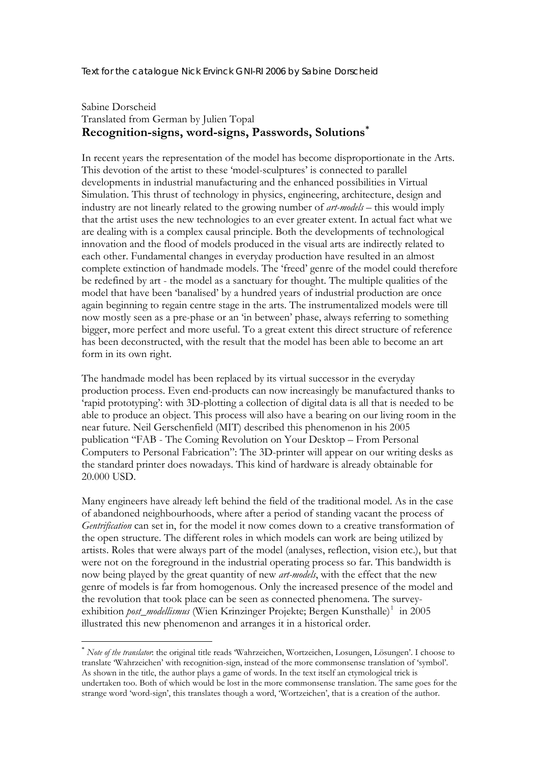Text for the catalogue Nick Ervinck GNI-RI 2006 by Sabine Dorscheid

## Sabine Dorscheid Translated from German by Julien Topal **Recognition-signs, word-signs, Passwords, Solutions[\\*](#page-0-0)**

In recent years the representation of the model has become disproportionate in the Arts. This devotion of the artist to these 'model-sculptures' is connected to parallel developments in industrial manufacturing and the enhanced possibilities in Virtual Simulation. This thrust of technology in physics, engineering, architecture, design and industry are not linearly related to the growing number of *art-models* – this would imply that the artist uses the new technologies to an ever greater extent. In actual fact what we are dealing with is a complex causal principle. Both the developments of technological innovation and the flood of models produced in the visual arts are indirectly related to each other. Fundamental changes in everyday production have resulted in an almost complete extinction of handmade models. The 'freed' genre of the model could therefore be redefined by art - the model as a sanctuary for thought. The multiple qualities of the model that have been 'banalised' by a hundred years of industrial production are once again beginning to regain centre stage in the arts. The instrumentalized models were till now mostly seen as a pre-phase or an 'in between' phase, always referring to something bigger, more perfect and more useful. To a great extent this direct structure of reference has been deconstructed, with the result that the model has been able to become an art form in its own right.

The handmade model has been replaced by its virtual successor in the everyday production process. Even end-products can now increasingly be manufactured thanks to 'rapid prototyping': with 3D-plotting a collection of digital data is all that is needed to be able to produce an object. This process will also have a bearing on our living room in the near future. Neil Gerschenfield (MIT) described this phenomenon in his 2005 publication "FAB - The Coming Revolution on Your Desktop – From Personal Computers to Personal Fabrication": The 3D-printer will appear on our writing desks as the standard printer does nowadays. This kind of hardware is already obtainable for 20.000 USD.

Many engineers have already left behind the field of the traditional model. As in the case of abandoned neighbourhoods, where after a period of standing vacant the process of *Gentrification* can set in, for the model it now comes down to a creative transformation of the open structure. The different roles in which models can work are being utilized by artists. Roles that were always part of the model (analyses, reflection, vision etc.), but that were not on the foreground in the industrial operating process so far. This bandwidth is now being played by the great quantity of new *art-models*, with the effect that the new genre of models is far from homogenous. Only the increased presence of the model and the revolution that took place can be seen as connected phenomena. The surveyexhibition *post\_modellismus* (Wien Krinzinger Projekte; Bergen Kunsthalle)<sup>[1](#page-2-0)</sup> in 2005 illustrated this new phenomenon and arranges it in a historical order.

<u>.</u>

<span id="page-0-0"></span><sup>\*</sup> *Note of the translator*: the original title reads 'Wahrzeichen, Wortzeichen, Losungen, Lösungen'. I choose to translate 'Wahrzeichen' with recognition-sign, instead of the more commonsense translation of 'symbol'. As shown in the title, the author plays a game of words. In the text itself an etymological trick is undertaken too. Both of which would be lost in the more commonsense translation. The same goes for the strange word 'word-sign', this translates though a word, 'Wortzeichen', that is a creation of the author.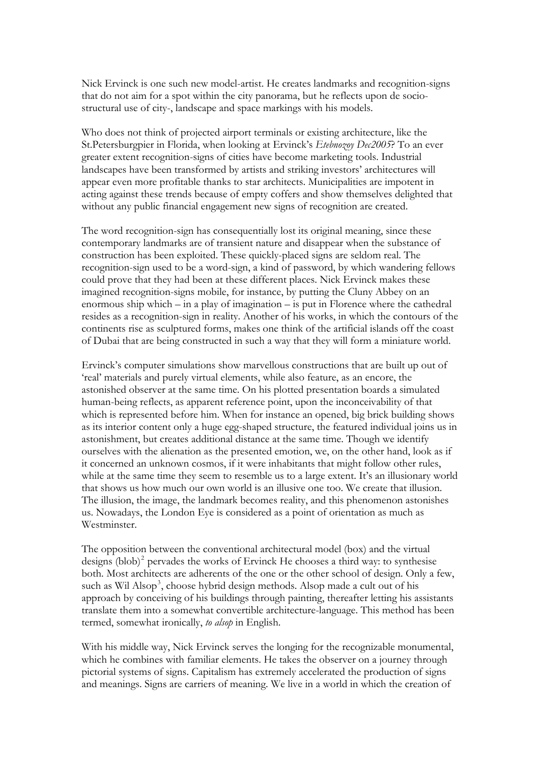Nick Ervinck is one such new model-artist. He creates landmarks and recognition-signs that do not aim for a spot within the city panorama, but he reflects upon de sociostructural use of city-, landscape and space markings with his models.

Who does not think of projected airport terminals or existing architecture, like the St.Petersburgpier in Florida, when looking at Ervinck's *Etebnozoy Dec2005*? To an ever greater extent recognition-signs of cities have become marketing tools. Industrial landscapes have been transformed by artists and striking investors' architectures will appear even more profitable thanks to star architects. Municipalities are impotent in acting against these trends because of empty coffers and show themselves delighted that without any public financial engagement new signs of recognition are created.

The word recognition-sign has consequentially lost its original meaning, since these contemporary landmarks are of transient nature and disappear when the substance of construction has been exploited. These quickly-placed signs are seldom real. The recognition-sign used to be a word-sign, a kind of password, by which wandering fellows could prove that they had been at these different places. Nick Ervinck makes these imagined recognition-signs mobile, for instance, by putting the Cluny Abbey on an enormous ship which – in a play of imagination – is put in Florence where the cathedral resides as a recognition-sign in reality. Another of his works, in which the contours of the continents rise as sculptured forms, makes one think of the artificial islands off the coast of Dubai that are being constructed in such a way that they will form a miniature world.

Ervinck's computer simulations show marvellous constructions that are built up out of 'real' materials and purely virtual elements, while also feature, as an encore, the astonished observer at the same time. On his plotted presentation boards a simulated human-being reflects, as apparent reference point, upon the inconceivability of that which is represented before him. When for instance an opened, big brick building shows as its interior content only a huge egg-shaped structure, the featured individual joins us in astonishment, but creates additional distance at the same time. Though we identify ourselves with the alienation as the presented emotion, we, on the other hand, look as if it concerned an unknown cosmos, if it were inhabitants that might follow other rules, while at the same time they seem to resemble us to a large extent. It's an illusionary world that shows us how much our own world is an illusive one too. We create that illusion. The illusion, the image, the landmark becomes reality, and this phenomenon astonishes us. Nowadays, the London Eye is considered as a point of orientation as much as Westminster.

The opposition between the conventional architectural model (box) and the virtual designs  $(blob)^2$  $(blob)^2$  pervades the works of Ervinck He chooses a third way: to synthesise both. Most architects are adherents of the one or the other school of design. Only a few, such as Wil Alsop<sup>[3](#page-2-1)</sup>, choose hybrid design methods. Alsop made a cult out of his approach by conceiving of his buildings through painting, thereafter letting his assistants translate them into a somewhat convertible architecture-language. This method has been termed, somewhat ironically, *to alsop* in English.

With his middle way, Nick Ervinck serves the longing for the recognizable monumental, which he combines with familiar elements. He takes the observer on a journey through pictorial systems of signs. Capitalism has extremely accelerated the production of signs and meanings. Signs are carriers of meaning. We live in a world in which the creation of